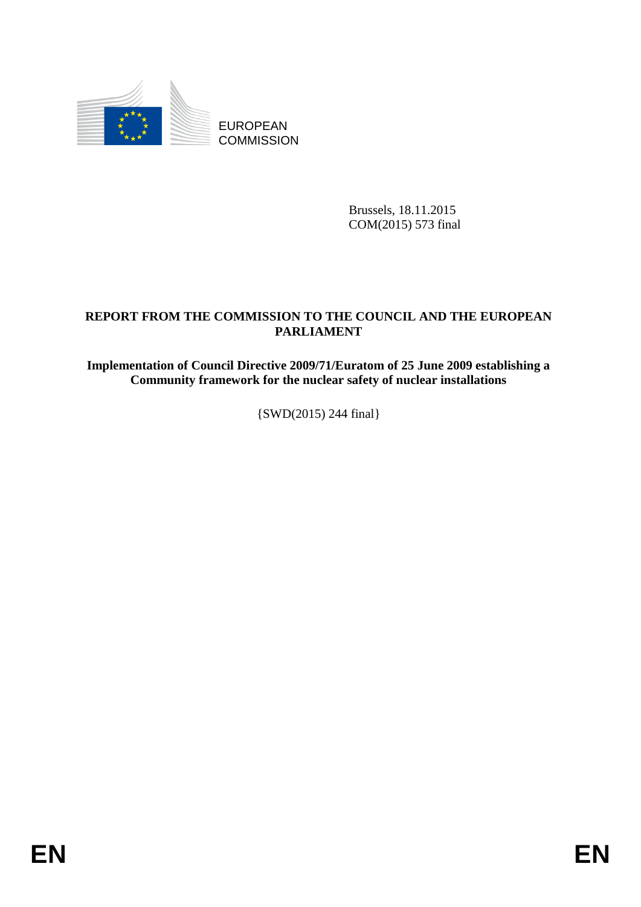

EUROPEAN **COMMISSION** 

> Brussels, 18.11.2015 COM(2015) 573 final

# **REPORT FROM THE COMMISSION TO THE COUNCIL AND THE EUROPEAN PARLIAMENT**

**Implementation of Council Directive 2009/71/Euratom of 25 June 2009 establishing a Community framework for the nuclear safety of nuclear installations** 

{SWD(2015) 244 final}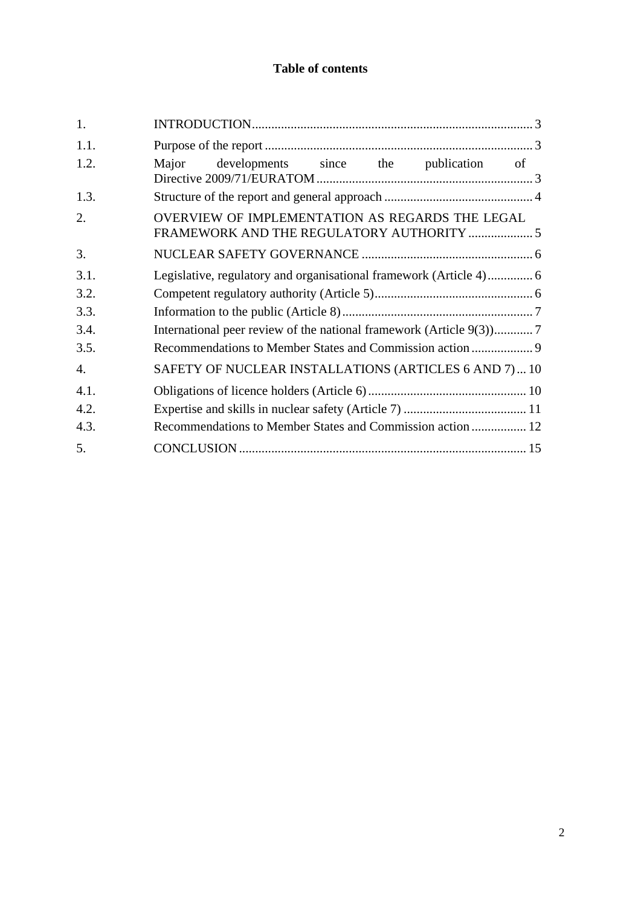## **Table of contents**

| 1.               |                                                                                              |  |  |  |  |  |
|------------------|----------------------------------------------------------------------------------------------|--|--|--|--|--|
| 1.1.             |                                                                                              |  |  |  |  |  |
| 1.2.             | developments since the publication<br>Major<br>of                                            |  |  |  |  |  |
| 1.3.             |                                                                                              |  |  |  |  |  |
| 2.               | OVERVIEW OF IMPLEMENTATION AS REGARDS THE LEGAL<br>FRAMEWORK AND THE REGULATORY AUTHORITY  5 |  |  |  |  |  |
| 3.               |                                                                                              |  |  |  |  |  |
| 3.1.             |                                                                                              |  |  |  |  |  |
| 3.2.             |                                                                                              |  |  |  |  |  |
| 3.3.             |                                                                                              |  |  |  |  |  |
| 3.4.             | International peer review of the national framework (Article 9(3))7                          |  |  |  |  |  |
| 3.5.             |                                                                                              |  |  |  |  |  |
| $\overline{4}$ . | SAFETY OF NUCLEAR INSTALLATIONS (ARTICLES 6 AND 7) 10                                        |  |  |  |  |  |
| 4.1.             |                                                                                              |  |  |  |  |  |
| 4.2.             |                                                                                              |  |  |  |  |  |
| 4.3.             | Recommendations to Member States and Commission action  12                                   |  |  |  |  |  |
| 5.               |                                                                                              |  |  |  |  |  |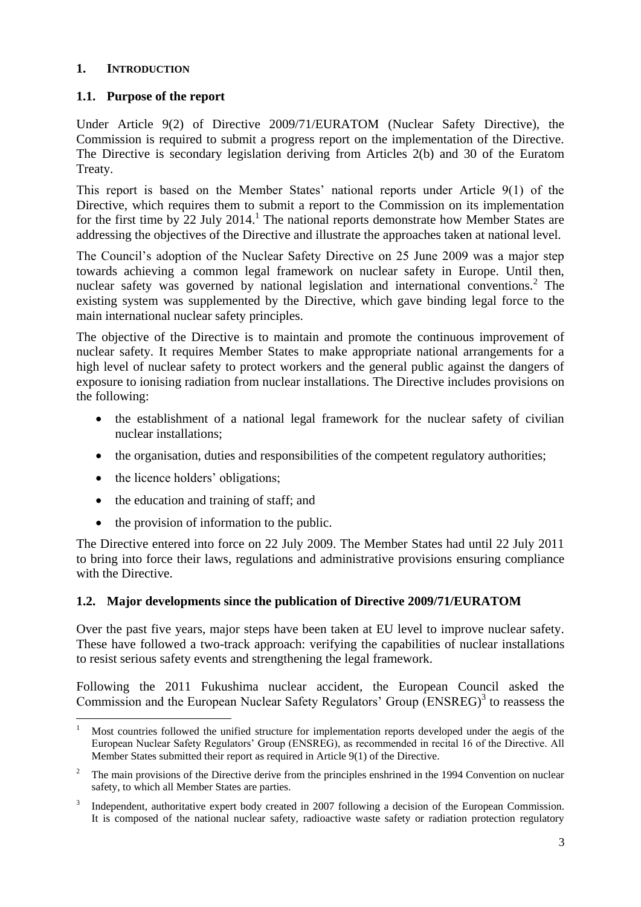#### <span id="page-2-0"></span>**1. INTRODUCTION**

### <span id="page-2-1"></span>**1.1. Purpose of the report**

Under Article 9(2) of Directive 2009/71/EURATOM (Nuclear Safety Directive), the Commission is required to submit a progress report on the implementation of the Directive. The Directive is secondary legislation deriving from Articles 2(b) and 30 of the Euratom Treaty.

This report is based on the Member States' national reports under Article 9(1) of the Directive, which requires them to submit a report to the Commission on its implementation for the first time by  $22$  July  $2014$ .<sup>1</sup> The national reports demonstrate how Member States are addressing the objectives of the Directive and illustrate the approaches taken at national level.

The Council's adoption of the Nuclear Safety Directive on 25 June 2009 was a major step towards achieving a common legal framework on nuclear safety in Europe. Until then, nuclear safety was governed by national legislation and international conventions.<sup>2</sup> The existing system was supplemented by the [Directive,](http://eur-lex.europa.eu/LexUriServ/LexUriServ.do?uri=OJ:L:2009:172:0018:0022:EN:PDF) which gave binding legal force to the main international nuclear safety principles.

The objective of the Directive is to maintain and promote the continuous improvement of nuclear safety. It requires Member States to make appropriate national arrangements for a high level of nuclear safety to protect workers and the general public against the dangers of exposure to ionising radiation from nuclear installations. The Directive includes provisions on the following:

- the establishment of a national legal framework for the nuclear safety of civilian nuclear installations;
- the organisation, duties and responsibilities of the competent regulatory authorities;
- the licence holders' obligations;
- the education and training of staff; and
- the provision of information to the public.

The Directive entered into force on 22 July 2009. The Member States had until 22 July 2011 to bring into force their laws, regulations and administrative provisions ensuring compliance with the Directive.

### <span id="page-2-2"></span>**1.2. Major developments since the publication of Directive 2009/71/EURATOM**

Over the past five years, major steps have been taken at EU level to improve nuclear safety. These have followed a two-track approach: verifying the capabilities of nuclear installations to resist serious safety events and strengthening the legal framework.

Following the 2011 Fukushima nuclear accident, the European Council asked the Commission and the European Nuclear Safety Regulators' Group  $(ENSREG)^3$  to reassess the

 $\mathbf{1}$ <sup>1</sup> Most countries followed the unified structure for implementation reports developed under the aegis of the European Nuclear Safety Regulators' Group (ENSREG), as recommended in recital 16 of the Directive. All Member States submitted their report as required in Article 9(1) of the Directive.

<sup>&</sup>lt;sup>2</sup> The main provisions of the Directive derive from the principles enshrined in the 1994 Convention on nuclear safety, to which all Member States are parties.

<sup>3</sup> Independent, authoritative expert body created in 2007 following a decision of the European Commission. It is composed of the national nuclear safety, radioactive waste safety or radiation protection regulatory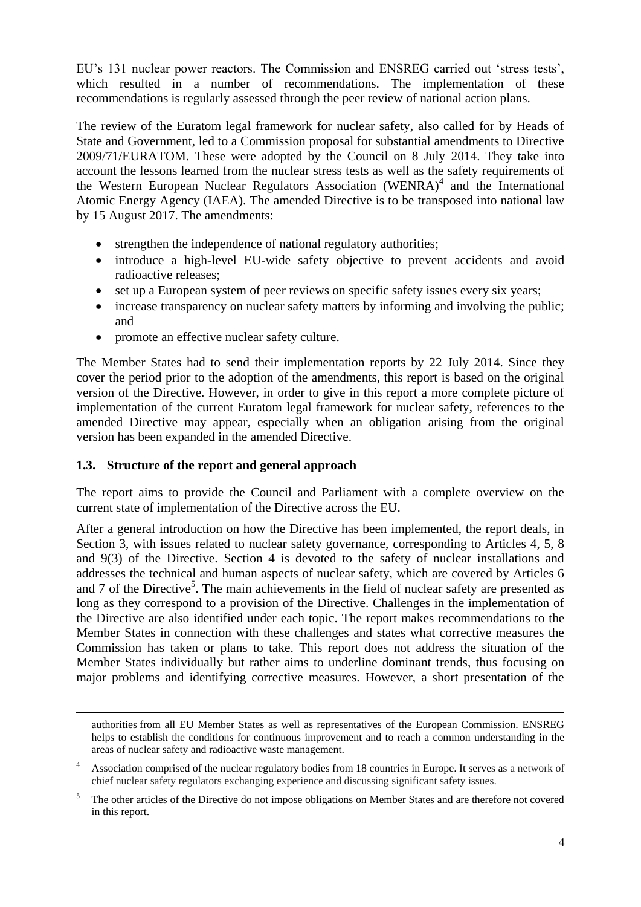EU's 131 nuclear power reactors. The Commission and ENSREG carried out 'stress tests', which resulted in a number of recommendations. The implementation of these recommendations is regularly assessed through the peer review of national action plans.

The review of the Euratom legal framework for nuclear safety, also called for by Heads of State and Government, led to a Commission proposal for substantial amendments to Directive 2009/71/EURATOM. These were adopted by the Council on 8 July 2014. They take into account the lessons learned from the nuclear stress tests as well as the safety requirements of the Western European Nuclear Regulators Association (WENRA)<sup>4</sup> and the International Atomic Energy Agency (IAEA). The amended Directive is to be transposed into national law by 15 August 2017. The amendments:

- strengthen the independence of national regulatory authorities;
- introduce a high-level EU-wide safety objective to prevent accidents and avoid radioactive releases;
- set up a European system of peer reviews on specific safety issues every six years;
- increase transparency on nuclear safety matters by informing and involving the public; and
- promote an effective nuclear safety culture.

The Member States had to send their implementation reports by 22 July 2014. Since they cover the period prior to the adoption of the amendments, this report is based on the original version of the Directive. However, in order to give in this report a more complete picture of implementation of the current Euratom legal framework for nuclear safety, references to the amended Directive may appear, especially when an obligation arising from the original version has been expanded in the amended Directive.

## <span id="page-3-0"></span>**1.3. Structure of the report and general approach**

1

The report aims to provide the Council and Parliament with a complete overview on the current state of implementation of the Directive across the EU.

After a general introduction on how the Directive has been implemented, the report deals, in Section 3, with issues related to nuclear safety governance, corresponding to Articles 4, 5, 8 and 9(3) of the Directive. Section 4 is devoted to the safety of nuclear installations and addresses the technical and human aspects of nuclear safety, which are covered by Articles 6 and 7 of the Directive<sup>5</sup>. The main achievements in the field of nuclear safety are presented as long as they correspond to a provision of the Directive. Challenges in the implementation of the Directive are also identified under each topic. The report makes recommendations to the Member States in connection with these challenges and states what corrective measures the Commission has taken or plans to take. This report does not address the situation of the Member States individually but rather aims to underline dominant trends, thus focusing on major problems and identifying corrective measures. However, a short presentation of the

authorities from all EU Member States as well as representatives of the European Commission. ENSREG helps to establish the conditions for continuous improvement and to reach a common understanding in the areas of nuclear safety and radioactive waste management.

<sup>4</sup> Association comprised of the nuclear regulatory bodies from 18 countries in Europe. It serves as a network of chief nuclear safety regulators exchanging experience and discussing significant safety issues.

<sup>5</sup> The other articles of the Directive do not impose obligations on Member States and are therefore not covered in this report.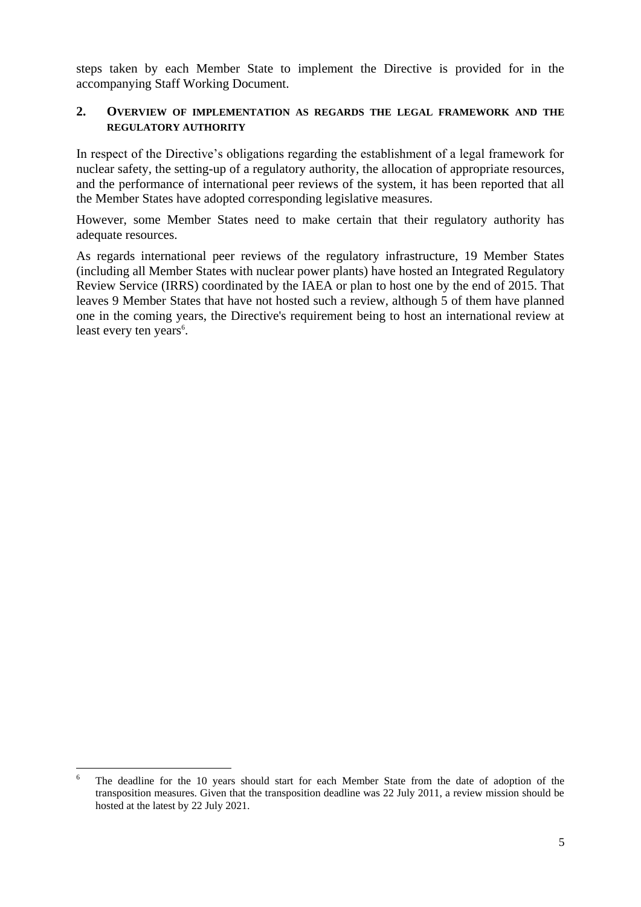steps taken by each Member State to implement the Directive is provided for in the accompanying Staff Working Document.

#### <span id="page-4-0"></span>**2. OVERVIEW OF IMPLEMENTATION AS REGARDS THE LEGAL FRAMEWORK AND THE REGULATORY AUTHORITY**

In respect of the Directive's obligations regarding the establishment of a legal framework for nuclear safety, the setting-up of a regulatory authority, the allocation of appropriate resources, and the performance of international peer reviews of the system, it has been reported that all the Member States have adopted corresponding legislative measures.

However, some Member States need to make certain that their regulatory authority has adequate resources.

As regards international peer reviews of the regulatory infrastructure, 19 Member States (including all Member States with nuclear power plants) have hosted an Integrated Regulatory Review Service (IRRS) coordinated by the IAEA or plan to host one by the end of 2015. That leaves 9 Member States that have not hosted such a review, although 5 of them have planned one in the coming years, the Directive's requirement being to host an international review at least every ten years<sup>6</sup>.

1

The deadline for the 10 years should start for each Member State from the date of adoption of the transposition measures. Given that the transposition deadline was 22 July 2011, a review mission should be hosted at the latest by 22 July 2021.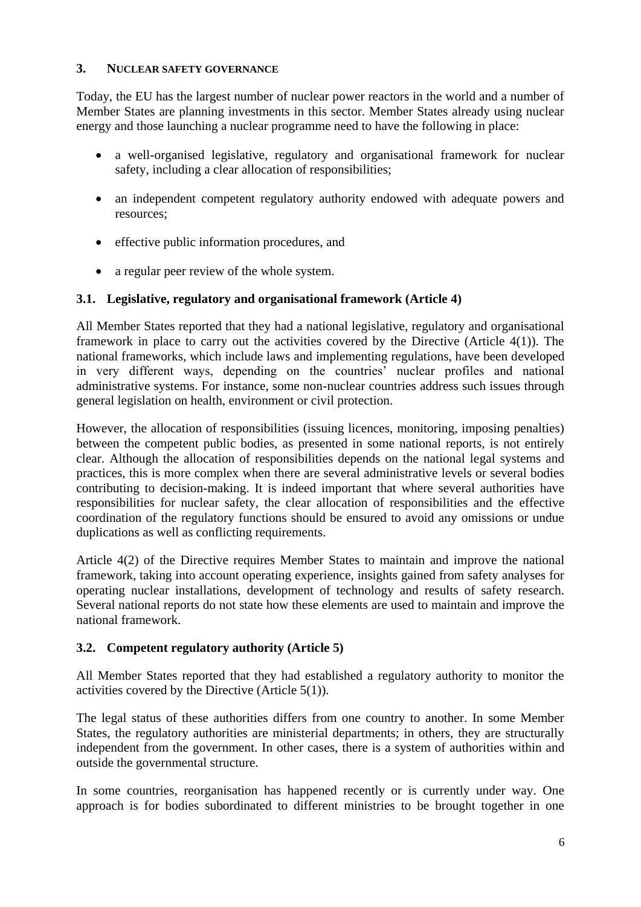#### <span id="page-5-0"></span>**3. NUCLEAR SAFETY GOVERNANCE**

Today, the EU has the largest number of nuclear power reactors in the world and a number of Member States are planning investments in this sector. Member States already using nuclear energy and those launching a nuclear programme need to have the following in place:

- a well-organised legislative, regulatory and organisational framework for nuclear safety, including a clear allocation of responsibilities;
- an independent competent regulatory authority endowed with adequate powers and resources;
- effective public information procedures, and
- a regular peer review of the whole system.

### <span id="page-5-1"></span>**3.1. Legislative, regulatory and organisational framework (Article 4)**

All Member States reported that they had a national legislative, regulatory and organisational framework in place to carry out the activities covered by the Directive (Article 4(1)). The national frameworks, which include laws and implementing regulations, have been developed in very different ways, depending on the countries' nuclear profiles and national administrative systems. For instance, some non-nuclear countries address such issues through general legislation on health, environment or civil protection.

However, the allocation of responsibilities (issuing licences, monitoring, imposing penalties) between the competent public bodies, as presented in some national reports, is not entirely clear. Although the allocation of responsibilities depends on the national legal systems and practices, this is more complex when there are several administrative levels or several bodies contributing to decision-making. It is indeed important that where several authorities have responsibilities for nuclear safety, the clear allocation of responsibilities and the effective coordination of the regulatory functions should be ensured to avoid any omissions or undue duplications as well as conflicting requirements.

Article 4(2) of the Directive requires Member States to maintain and improve the national framework, taking into account operating experience, insights gained from safety analyses for operating nuclear installations, development of technology and results of safety research. Several national reports do not state how these elements are used to maintain and improve the national framework.

### <span id="page-5-2"></span>**3.2. Competent regulatory authority (Article 5)**

All Member States reported that they had established a regulatory authority to monitor the activities covered by the Directive (Article 5(1)).

The legal status of these authorities differs from one country to another. In some Member States, the regulatory authorities are ministerial departments; in others, they are structurally independent from the government. In other cases, there is a system of authorities within and outside the governmental structure.

In some countries, reorganisation has happened recently or is currently under way. One approach is for bodies subordinated to different ministries to be brought together in one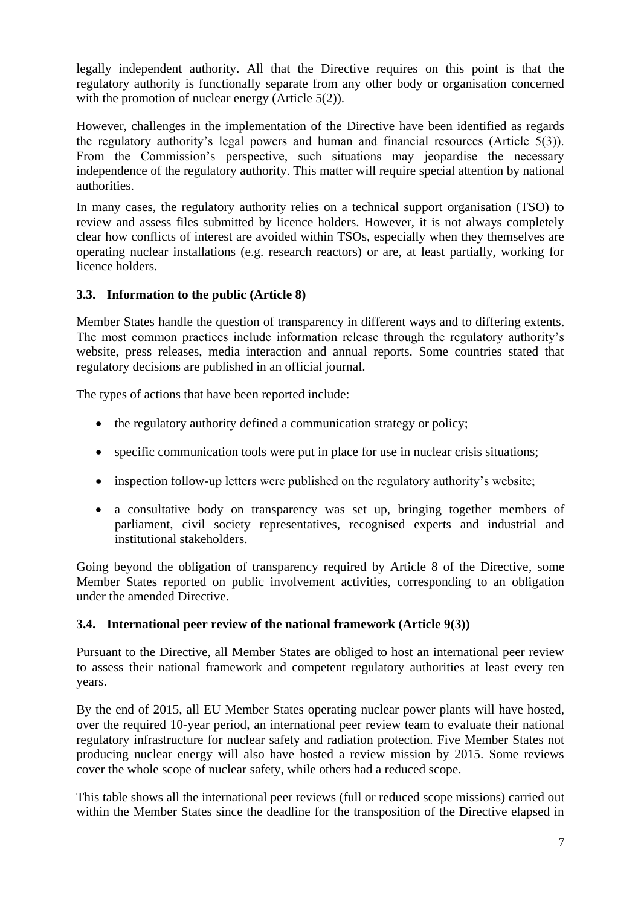legally independent authority. All that the Directive requires on this point is that the regulatory authority is functionally separate from any other body or organisation concerned with the promotion of nuclear energy (Article 5(2)).

However, challenges in the implementation of the Directive have been identified as regards the regulatory authority's legal powers and human and financial resources (Article 5(3)). From the Commission's perspective, such situations may jeopardise the necessary independence of the regulatory authority. This matter will require special attention by national authorities.

In many cases, the regulatory authority relies on a technical support organisation (TSO) to review and assess files submitted by licence holders. However, it is not always completely clear how conflicts of interest are avoided within TSOs, especially when they themselves are operating nuclear installations (e.g. research reactors) or are, at least partially, working for licence holders.

### <span id="page-6-0"></span>**3.3. Information to the public (Article 8)**

Member States handle the question of transparency in different ways and to differing extents. The most common practices include information release through the regulatory authority's website, press releases, media interaction and annual reports. Some countries stated that regulatory decisions are published in an official journal.

The types of actions that have been reported include:

- the regulatory authority defined a communication strategy or policy;
- specific communication tools were put in place for use in nuclear crisis situations;
- inspection follow-up letters were published on the regulatory authority's website;
- a consultative body on transparency was set up, bringing together members of parliament, civil society representatives, recognised experts and industrial and institutional stakeholders.

Going beyond the obligation of transparency required by Article 8 of the Directive, some Member States reported on public involvement activities, corresponding to an obligation under the amended Directive.

### <span id="page-6-1"></span>**3.4. International peer review of the national framework (Article 9(3))**

Pursuant to the Directive, all Member States are obliged to host an international peer review to assess their national framework and competent regulatory authorities at least every ten years.

By the end of 2015, all EU Member States operating nuclear power plants will have hosted, over the required 10-year period, an international peer review team to evaluate their national regulatory infrastructure for nuclear safety and radiation protection. Five Member States not producing nuclear energy will also have hosted a review mission by 2015. Some reviews cover the whole scope of nuclear safety, while others had a reduced scope.

This table shows all the international peer reviews (full or reduced scope missions) carried out within the Member States since the deadline for the transposition of the Directive elapsed in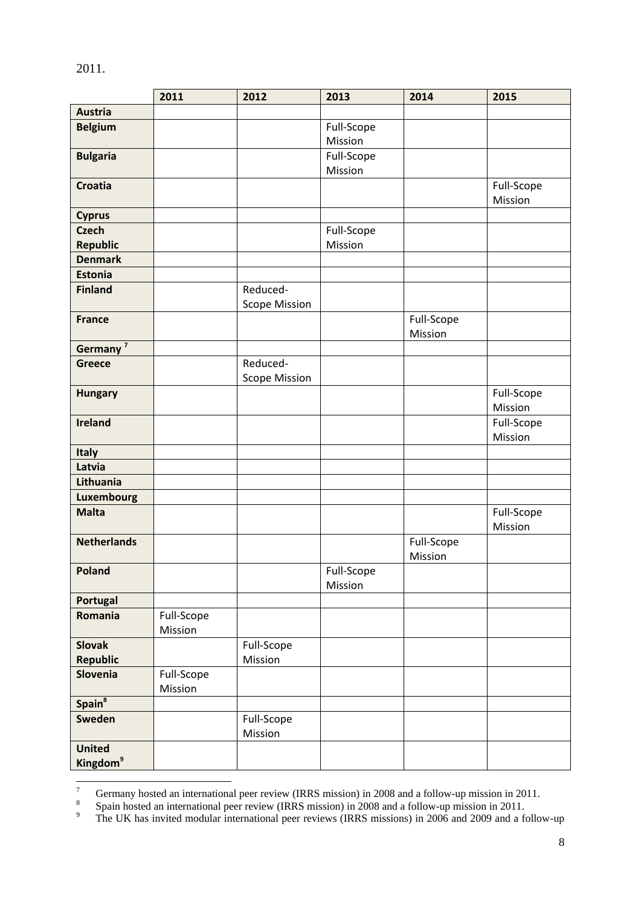|                      | 2011       | 2012                 | 2013       | 2014       | 2015       |
|----------------------|------------|----------------------|------------|------------|------------|
| <b>Austria</b>       |            |                      |            |            |            |
| <b>Belgium</b>       |            |                      | Full-Scope |            |            |
|                      |            |                      | Mission    |            |            |
| <b>Bulgaria</b>      |            |                      | Full-Scope |            |            |
|                      |            |                      | Mission    |            |            |
| <b>Croatia</b>       |            |                      |            |            | Full-Scope |
|                      |            |                      |            |            | Mission    |
| <b>Cyprus</b>        |            |                      |            |            |            |
| <b>Czech</b>         |            |                      | Full-Scope |            |            |
| <b>Republic</b>      |            |                      | Mission    |            |            |
| <b>Denmark</b>       |            |                      |            |            |            |
| <b>Estonia</b>       |            |                      |            |            |            |
| <b>Finland</b>       |            | Reduced-             |            |            |            |
|                      |            | <b>Scope Mission</b> |            |            |            |
| <b>France</b>        |            |                      |            | Full-Scope |            |
|                      |            |                      |            | Mission    |            |
| Germany <sup>7</sup> |            |                      |            |            |            |
| <b>Greece</b>        |            | Reduced-             |            |            |            |
|                      |            | <b>Scope Mission</b> |            |            |            |
| <b>Hungary</b>       |            |                      |            |            | Full-Scope |
|                      |            |                      |            |            | Mission    |
| <b>Ireland</b>       |            |                      |            |            | Full-Scope |
|                      |            |                      |            |            | Mission    |
| <b>Italy</b>         |            |                      |            |            |            |
| Latvia               |            |                      |            |            |            |
| Lithuania            |            |                      |            |            |            |
| <b>Luxembourg</b>    |            |                      |            |            |            |
| <b>Malta</b>         |            |                      |            |            | Full-Scope |
|                      |            |                      |            |            | Mission    |
| <b>Netherlands</b>   |            |                      |            | Full-Scope |            |
|                      |            |                      |            | Mission    |            |
| Poland               |            |                      | Full-Scope |            |            |
|                      |            |                      | Mission    |            |            |
| <b>Portugal</b>      |            |                      |            |            |            |
| Romania              | Full-Scope |                      |            |            |            |
|                      | Mission    |                      |            |            |            |
| <b>Slovak</b>        |            | Full-Scope           |            |            |            |
| <b>Republic</b>      |            | Mission              |            |            |            |
| <b>Slovenia</b>      | Full-Scope |                      |            |            |            |
|                      | Mission    |                      |            |            |            |
| Spain <sup>8</sup>   |            |                      |            |            |            |
| Sweden               |            | Full-Scope           |            |            |            |
|                      |            | Mission              |            |            |            |
| <b>United</b>        |            |                      |            |            |            |
| Kingdom <sup>9</sup> |            |                      |            |            |            |

<sup>2011.</sup>

 $\overline{7}$ <sup>7</sup> Germany hosted an international peer review (IRRS mission) in 2008 and a follow-up mission in 2011.

<sup>8</sup> Spain hosted an international peer review (IRRS mission) in 2008 and a follow-up mission in 2011.

<sup>&</sup>lt;sup>9</sup> The UK has invited modular international peer reviews (IRRS missions) in 2006 and 2009 and a follow-up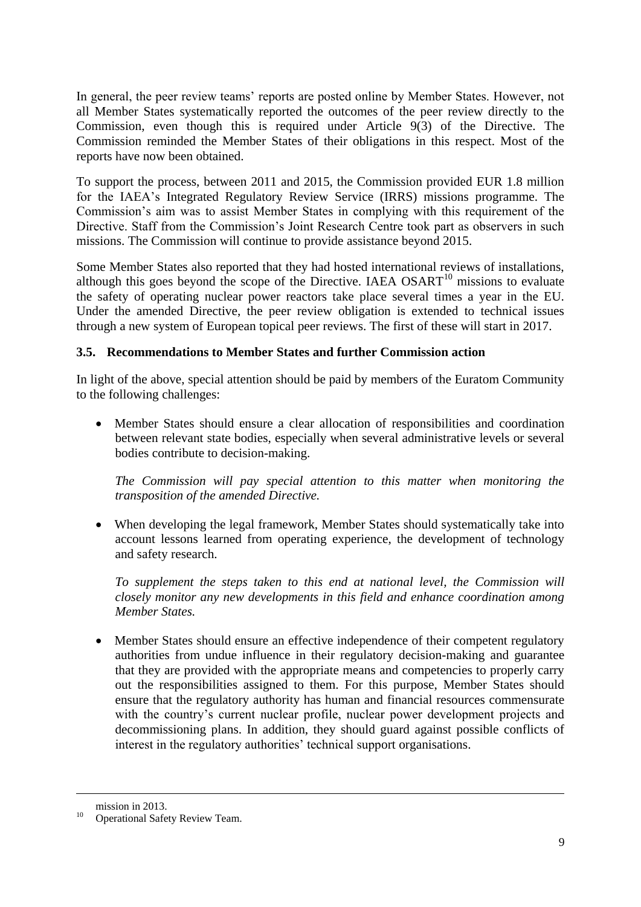In general, the peer review teams' reports are posted online by Member States. However, not all Member States systematically reported the outcomes of the peer review directly to the Commission, even though this is required under Article 9(3) of the Directive. The Commission reminded the Member States of their obligations in this respect. Most of the reports have now been obtained.

To support the process, between 2011 and 2015, the Commission provided EUR 1.8 million for the IAEA's Integrated Regulatory Review Service (IRRS) missions programme. The Commission's aim was to assist Member States in complying with this requirement of the Directive. Staff from the Commission's Joint Research Centre took part as observers in such missions. The Commission will continue to provide assistance beyond 2015.

Some Member States also reported that they had hosted international reviews of installations, although this goes beyond the scope of the Directive. IAEA  $OSART^{10}$  missions to evaluate the safety of operating nuclear power reactors take place several times a year in the EU. Under the amended Directive, the peer review obligation is extended to technical issues through a new system of European topical peer reviews. The first of these will start in 2017.

## <span id="page-8-0"></span>**3.5. Recommendations to Member States and further Commission action**

In light of the above, special attention should be paid by members of the Euratom Community to the following challenges:

 Member States should ensure a clear allocation of responsibilities and coordination between relevant state bodies, especially when several administrative levels or several bodies contribute to decision-making.

*The Commission will pay special attention to this matter when monitoring the transposition of the amended Directive.*

• When developing the legal framework, Member States should systematically take into account lessons learned from operating experience, the development of technology and safety research.

*To supplement the steps taken to this end at national level, the Commission will closely monitor any new developments in this field and enhance coordination among Member States.* 

• Member States should ensure an effective independence of their competent regulatory authorities from undue influence in their regulatory decision-making and guarantee that they are provided with the appropriate means and competencies to properly carry out the responsibilities assigned to them. For this purpose, Member States should ensure that the regulatory authority has human and financial resources commensurate with the country's current nuclear profile, nuclear power development projects and decommissioning plans. In addition, they should guard against possible conflicts of interest in the regulatory authorities' technical support organisations.

1

mission in 2013.

<sup>&</sup>lt;sup>10</sup> Operational Safety Review Team.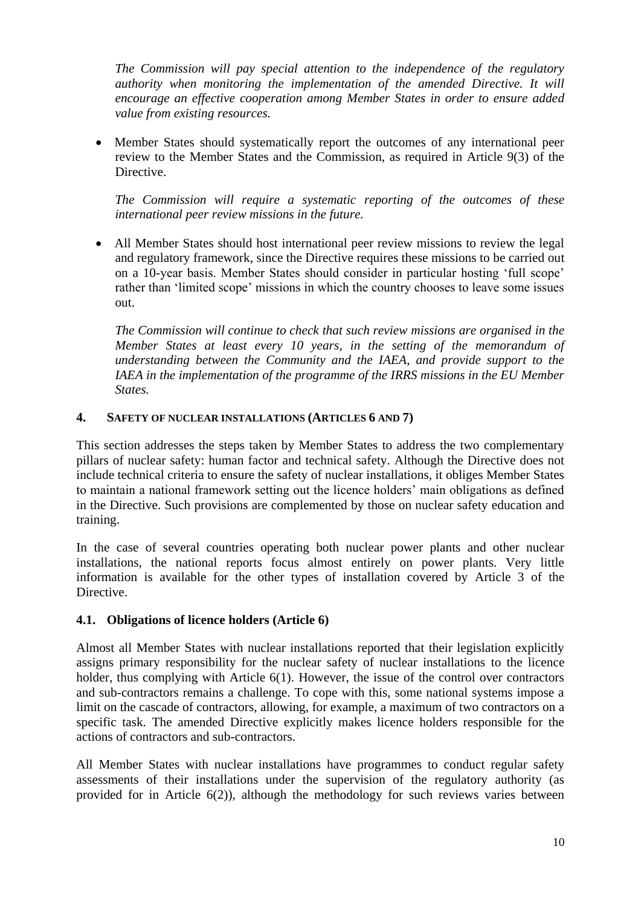*The Commission will pay special attention to the independence of the regulatory authority when monitoring the implementation of the amended Directive. It will encourage an effective cooperation among Member States in order to ensure added value from existing resources.* 

 Member States should systematically report the outcomes of any international peer review to the Member States and the Commission, as required in Article 9(3) of the Directive.

*The Commission will require a systematic reporting of the outcomes of these international peer review missions in the future.*

 All Member States should host international peer review missions to review the legal and regulatory framework, since the Directive requires these missions to be carried out on a 10-year basis. Member States should consider in particular hosting 'full scope' rather than 'limited scope' missions in which the country chooses to leave some issues out.

*The Commission will continue to check that such review missions are organised in the Member States at least every 10 years, in the setting of the memorandum of understanding between the Community and the IAEA, and provide support to the IAEA in the implementation of the programme of the IRRS missions in the EU Member States.*

#### <span id="page-9-0"></span>**4. SAFETY OF NUCLEAR INSTALLATIONS (ARTICLES 6 AND 7)**

This section addresses the steps taken by Member States to address the two complementary pillars of nuclear safety: human factor and technical safety. Although the Directive does not include technical criteria to ensure the safety of nuclear installations, it obliges Member States to maintain a national framework setting out the licence holders' main obligations as defined in the Directive. Such provisions are complemented by those on nuclear safety education and training.

In the case of several countries operating both nuclear power plants and other nuclear installations, the national reports focus almost entirely on power plants. Very little information is available for the other types of installation covered by Article 3 of the Directive.

### <span id="page-9-1"></span>**4.1. Obligations of licence holders (Article 6)**

Almost all Member States with nuclear installations reported that their legislation explicitly assigns primary responsibility for the nuclear safety of nuclear installations to the licence holder, thus complying with Article 6(1). However, the issue of the control over contractors and sub-contractors remains a challenge. To cope with this, some national systems impose a limit on the cascade of contractors, allowing, for example, a maximum of two contractors on a specific task. The amended Directive explicitly makes licence holders responsible for the actions of contractors and sub-contractors.

All Member States with nuclear installations have programmes to conduct regular safety assessments of their installations under the supervision of the regulatory authority (as provided for in Article 6(2)), although the methodology for such reviews varies between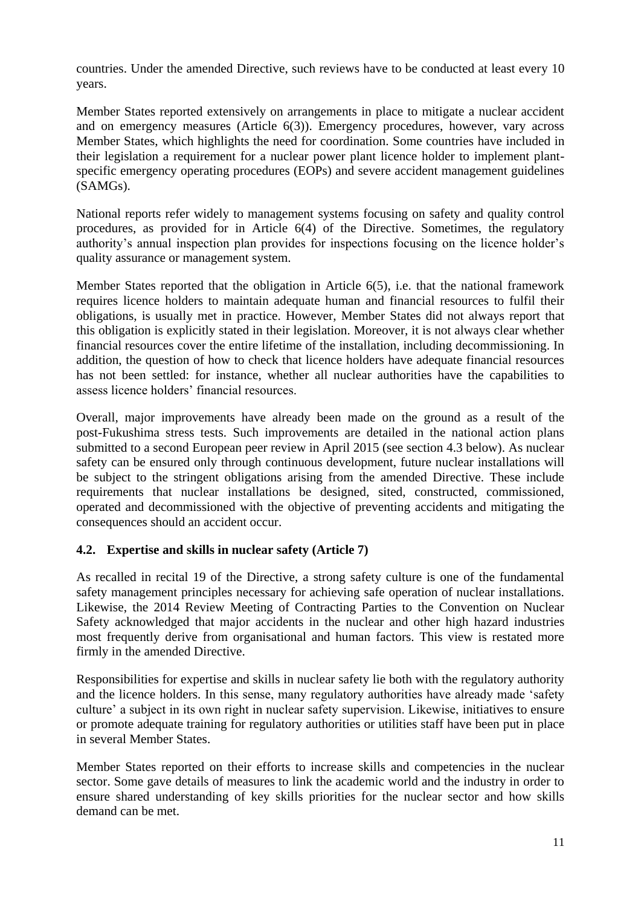countries. Under the amended Directive, such reviews have to be conducted at least every 10 years.

Member States reported extensively on arrangements in place to mitigate a nuclear accident and on emergency measures (Article 6(3)). Emergency procedures, however, vary across Member States, which highlights the need for coordination. Some countries have included in their legislation a requirement for a nuclear power plant licence holder to implement plantspecific emergency operating procedures (EOPs) and severe accident management guidelines (SAMGs).

National reports refer widely to management systems focusing on safety and quality control procedures, as provided for in Article 6(4) of the Directive. Sometimes, the regulatory authority's annual inspection plan provides for inspections focusing on the licence holder's quality assurance or management system.

Member States reported that the obligation in Article 6(5), i.e. that the national framework requires licence holders to maintain adequate human and financial resources to fulfil their obligations, is usually met in practice. However, Member States did not always report that this obligation is explicitly stated in their legislation. Moreover, it is not always clear whether financial resources cover the entire lifetime of the installation, including decommissioning. In addition, the question of how to check that licence holders have adequate financial resources has not been settled: for instance, whether all nuclear authorities have the capabilities to assess licence holders' financial resources.

Overall, major improvements have already been made on the ground as a result of the post-Fukushima stress tests. Such improvements are detailed in the national action plans submitted to a second European peer review in April 2015 (see section 4.3 below). As nuclear safety can be ensured only through continuous development, future nuclear installations will be subject to the stringent obligations arising from the amended Directive. These include requirements that nuclear installations be designed, sited, constructed, commissioned, operated and decommissioned with the objective of preventing accidents and mitigating the consequences should an accident occur.

### <span id="page-10-0"></span>**4.2. Expertise and skills in nuclear safety (Article 7)**

As recalled in recital 19 of the Directive, a strong safety culture is one of the fundamental safety management principles necessary for achieving safe operation of nuclear installations. Likewise, the 2014 Review Meeting of Contracting Parties to the Convention on Nuclear Safety acknowledged that major accidents in the nuclear and other high hazard industries most frequently derive from organisational and human factors. This view is restated more firmly in the amended Directive.

Responsibilities for expertise and skills in nuclear safety lie both with the regulatory authority and the licence holders. In this sense, many regulatory authorities have already made 'safety culture' a subject in its own right in nuclear safety supervision. Likewise, initiatives to ensure or promote adequate training for regulatory authorities or utilities staff have been put in place in several Member States.

Member States reported on their efforts to increase skills and competencies in the nuclear sector. Some gave details of measures to link the academic world and the industry in order to ensure shared understanding of key skills priorities for the nuclear sector and how skills demand can be met.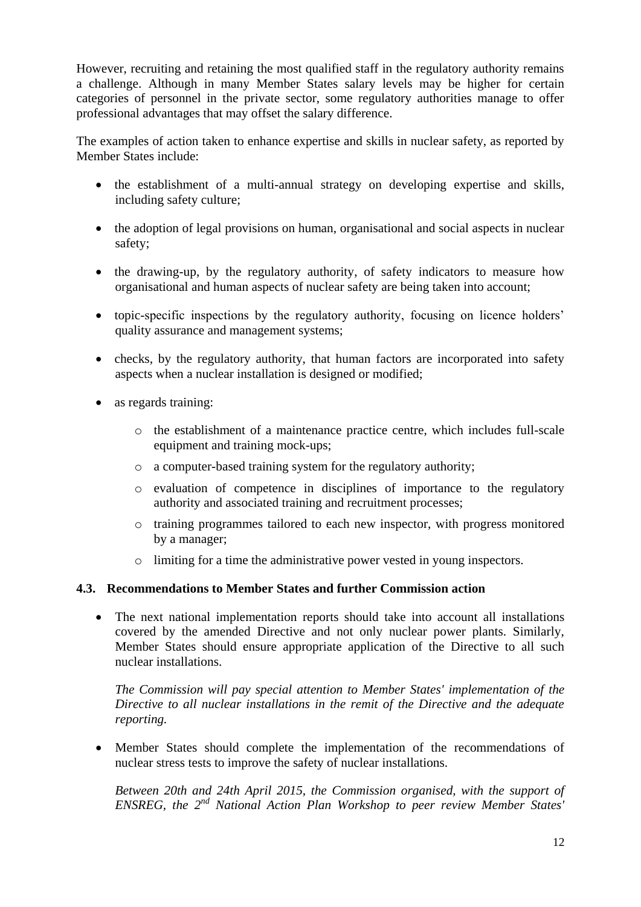However, recruiting and retaining the most qualified staff in the regulatory authority remains a challenge. Although in many Member States salary levels may be higher for certain categories of personnel in the private sector, some regulatory authorities manage to offer professional advantages that may offset the salary difference.

The examples of action taken to enhance expertise and skills in nuclear safety, as reported by Member States include:

- the establishment of a multi-annual strategy on developing expertise and skills, including safety culture;
- the adoption of legal provisions on human, organisational and social aspects in nuclear safety;
- the drawing-up, by the regulatory authority, of safety indicators to measure how organisational and human aspects of nuclear safety are being taken into account;
- topic-specific inspections by the regulatory authority, focusing on licence holders' quality assurance and management systems;
- checks, by the regulatory authority, that human factors are incorporated into safety aspects when a nuclear installation is designed or modified;
- as regards training:
	- o the establishment of a maintenance practice centre, which includes full-scale equipment and training mock-ups;
	- o a computer-based training system for the regulatory authority;
	- o evaluation of competence in disciplines of importance to the regulatory authority and associated training and recruitment processes;
	- o training programmes tailored to each new inspector, with progress monitored by a manager;
	- o limiting for a time the administrative power vested in young inspectors.

### <span id="page-11-0"></span>**4.3. Recommendations to Member States and further Commission action**

 The next national implementation reports should take into account all installations covered by the amended Directive and not only nuclear power plants. Similarly, Member States should ensure appropriate application of the Directive to all such nuclear installations.

*The Commission will pay special attention to Member States' implementation of the Directive to all nuclear installations in the remit of the Directive and the adequate reporting.*

 Member States should complete the implementation of the recommendations of nuclear stress tests to improve the safety of nuclear installations.

*Between 20th and 24th April 2015, the Commission organised, with the support of ENSREG, the 2nd National Action Plan Workshop to peer review Member States'*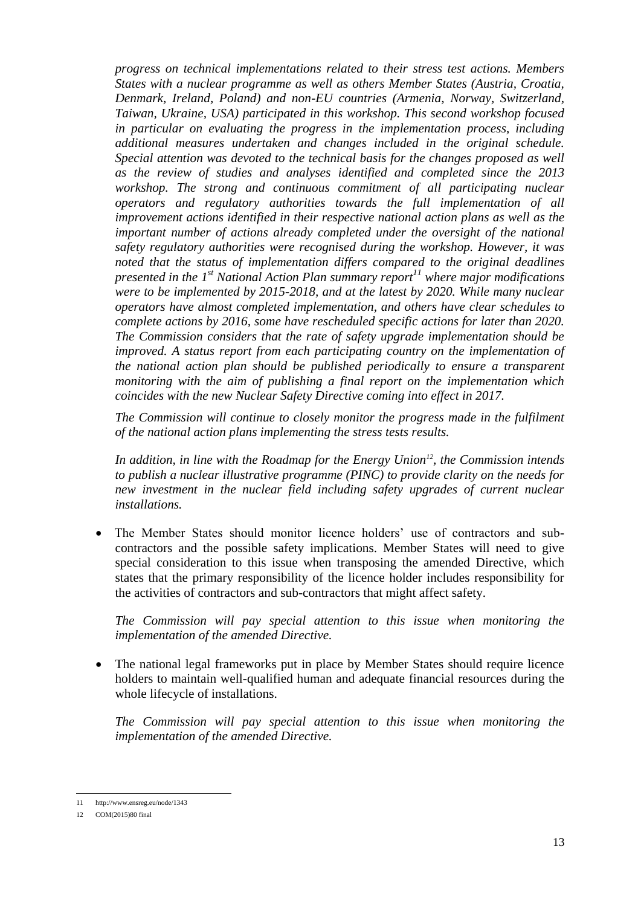*progress on technical implementations related to their stress test actions. Members States with a nuclear programme as well as others Member States (Austria, Croatia, Denmark, Ireland, Poland) and non-EU countries (Armenia, Norway, Switzerland, Taiwan, Ukraine, USA) participated in this workshop. This second workshop focused in particular on evaluating the progress in the implementation process, including additional measures undertaken and changes included in the original schedule. Special attention was devoted to the technical basis for the changes proposed as well as the review of studies and analyses identified and completed since the 2013*  workshop. The strong and continuous commitment of all participating nuclear *operators and regulatory authorities towards the full implementation of all improvement actions identified in their respective national action plans as well as the important number of actions already completed under the oversight of the national safety regulatory authorities were recognised during the workshop. However, it was noted that the status of implementation differs compared to the original deadlines presented in the 1st National Action Plan summary report<sup>11</sup> where major modifications were to be implemented by 2015-2018, and at the latest by 2020. While many nuclear operators have almost completed implementation, and others have clear schedules to complete actions by 2016, some have rescheduled specific actions for later than 2020. The Commission considers that the rate of safety upgrade implementation should be improved. A status report from each participating country on the implementation of the national action plan should be published periodically to ensure a transparent monitoring with the aim of publishing a final report on the implementation which coincides with the new Nuclear Safety Directive coming into effect in 2017.*

*The Commission will continue to closely monitor the progress made in the fulfilment of the national action plans implementing the stress tests results.*

*In addition, in line with the Roadmap for the Energy Union<sup>12</sup>, the Commission intends to publish a nuclear illustrative programme (PINC) to provide clarity on the needs for new investment in the nuclear field including safety upgrades of current nuclear installations.*

 The Member States should monitor licence holders' use of contractors and subcontractors and the possible safety implications. Member States will need to give special consideration to this issue when transposing the amended Directive, which states that the primary responsibility of the licence holder includes responsibility for the activities of contractors and sub-contractors that might affect safety.

*The Commission will pay special attention to this issue when monitoring the implementation of the amended Directive.*

• The national legal frameworks put in place by Member States should require licence holders to maintain well-qualified human and adequate financial resources during the whole lifecycle of installations.

*The Commission will pay special attention to this issue when monitoring the implementation of the amended Directive.*

<sup>1</sup> 11 <http://www.ensreg.eu/node/1343>

<sup>12</sup> COM(2015)80 final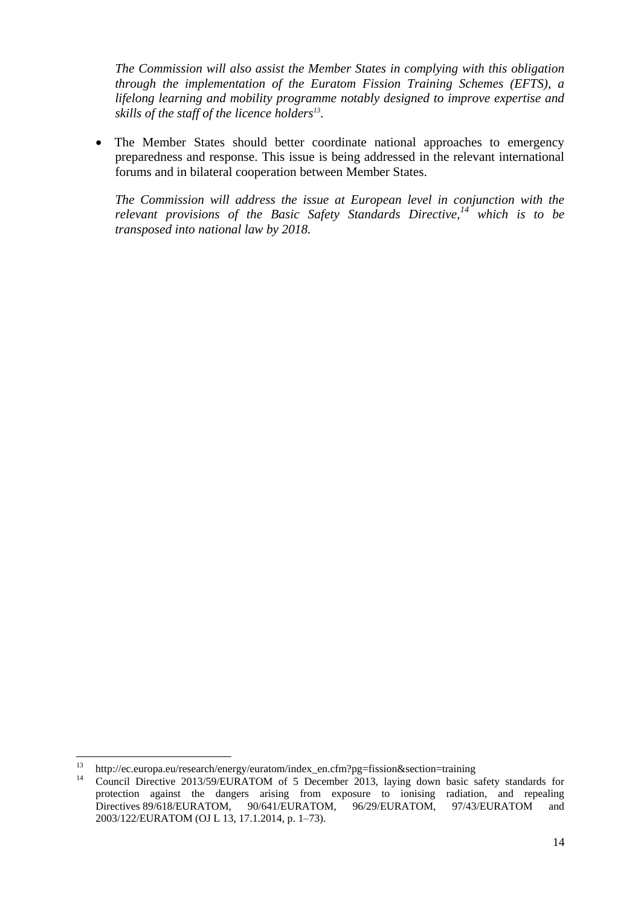*The Commission will also assist the Member States in complying with this obligation through the implementation of the Euratom Fission Training Schemes (EFTS), a lifelong learning and mobility programme notably designed to improve expertise and skills of the staff of the licence holders<sup>13</sup> .*

• The Member States should better coordinate national approaches to emergency preparedness and response. This issue is being addressed in the relevant international forums and in bilateral cooperation between Member States.

*The Commission will address the issue at European level in conjunction with the relevant provisions of the Basic Safety Standards Directive,<sup>14</sup> which is to be transposed into national law by 2018.*

<sup>13</sup> <sup>13</sup> http://ec.europa.eu/research/energy/euratom/index\_en.cfm?pg=fission&section=training<br> $\frac{14}{10}$ 

Council Directive 2013/59/EURATOM of 5 December 2013, laying down basic safety standards for protection against the dangers arising from exposure to ionising radiation, and repealing Directives 89/618/EURATOM, 90/641/EURATOM, 96/29/EURATOM, 97/43/EURATOM and 2003/122/EURATOM (OJ L 13, 17.1.2014, p. 1–73).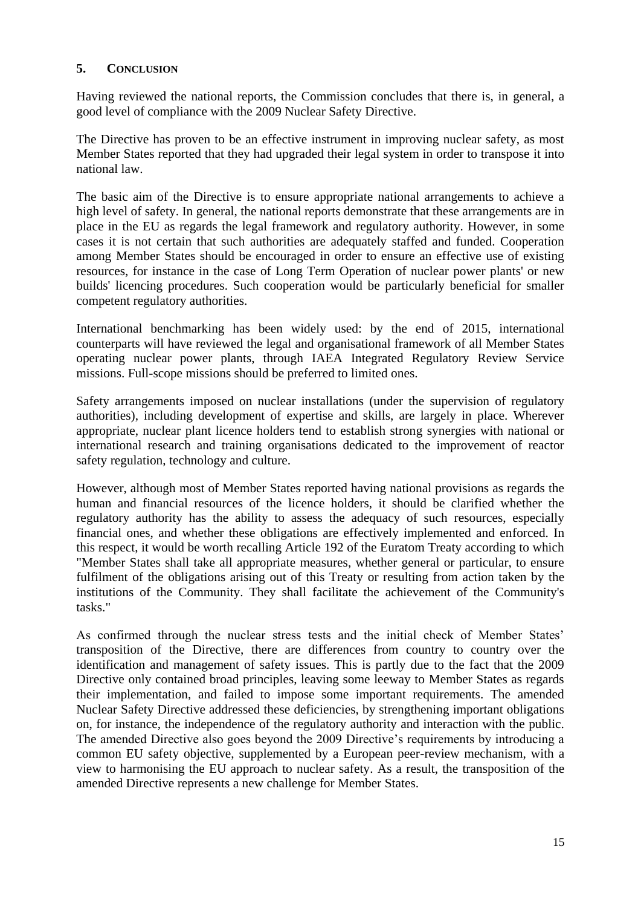#### <span id="page-14-0"></span>**5. CONCLUSION**

Having reviewed the national reports, the Commission concludes that there is, in general, a good level of compliance with the 2009 Nuclear Safety Directive.

The Directive has proven to be an effective instrument in improving nuclear safety, as most Member States reported that they had upgraded their legal system in order to transpose it into national law.

The basic aim of the Directive is to ensure appropriate national arrangements to achieve a high level of safety. In general, the national reports demonstrate that these arrangements are in place in the EU as regards the legal framework and regulatory authority. However, in some cases it is not certain that such authorities are adequately staffed and funded. Cooperation among Member States should be encouraged in order to ensure an effective use of existing resources, for instance in the case of Long Term Operation of nuclear power plants' or new builds' licencing procedures. Such cooperation would be particularly beneficial for smaller competent regulatory authorities.

International benchmarking has been widely used: by the end of 2015, international counterparts will have reviewed the legal and organisational framework of all Member States operating nuclear power plants, through IAEA Integrated Regulatory Review Service missions. Full-scope missions should be preferred to limited ones.

Safety arrangements imposed on nuclear installations (under the supervision of regulatory authorities), including development of expertise and skills, are largely in place. Wherever appropriate, nuclear plant licence holders tend to establish strong synergies with national or international research and training organisations dedicated to the improvement of reactor safety regulation, technology and culture.

However, although most of Member States reported having national provisions as regards the human and financial resources of the licence holders, it should be clarified whether the regulatory authority has the ability to assess the adequacy of such resources, especially financial ones, and whether these obligations are effectively implemented and enforced. In this respect, it would be worth recalling Article 192 of the Euratom Treaty according to which "Member States shall take all appropriate measures, whether general or particular, to ensure fulfilment of the obligations arising out of this Treaty or resulting from action taken by the institutions of the Community. They shall facilitate the achievement of the Community's tasks."

As confirmed through the nuclear stress tests and the initial check of Member States' transposition of the Directive, there are differences from country to country over the identification and management of safety issues. This is partly due to the fact that the 2009 Directive only contained broad principles, leaving some leeway to Member States as regards their implementation, and failed to impose some important requirements. The amended Nuclear Safety Directive addressed these deficiencies, by strengthening important obligations on, for instance, the independence of the regulatory authority and interaction with the public. The amended Directive also goes beyond the 2009 Directive's requirements by introducing a common EU safety objective, supplemented by a European peer-review mechanism, with a view to harmonising the EU approach to nuclear safety. As a result, the transposition of the amended Directive represents a new challenge for Member States.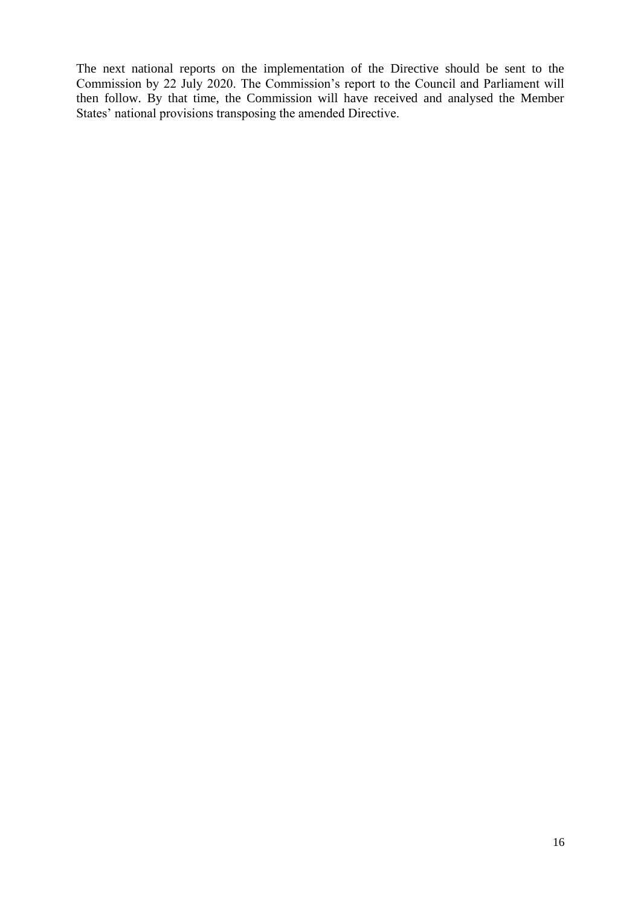The next national reports on the implementation of the Directive should be sent to the Commission by 22 July 2020. The Commission's report to the Council and Parliament will then follow. By that time, the Commission will have received and analysed the Member States' national provisions transposing the amended Directive.